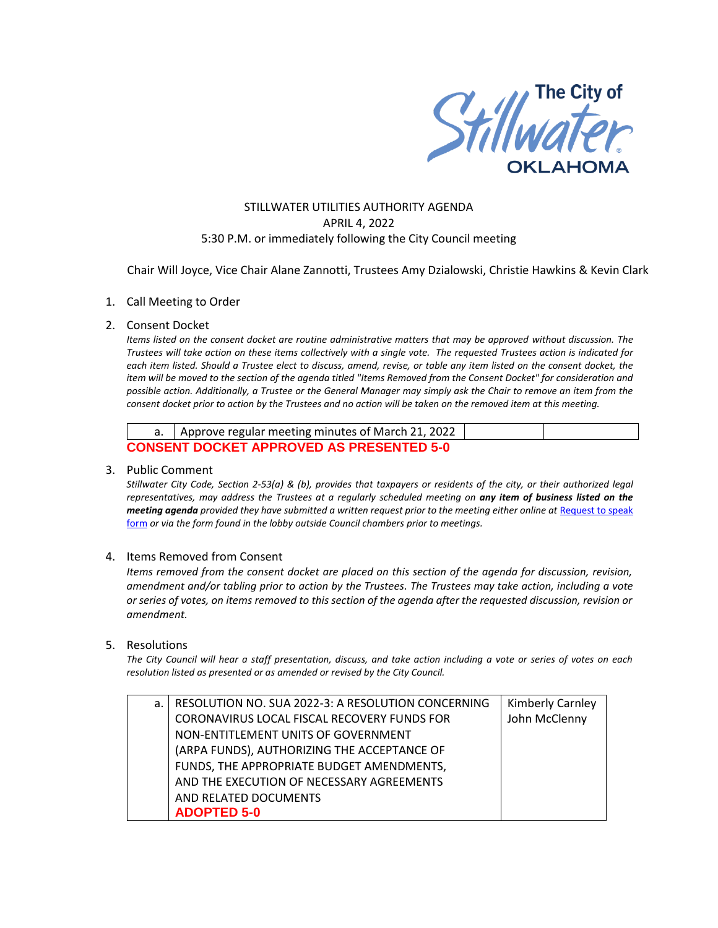

# STILLWATER UTILITIES AUTHORITY AGENDA APRIL 4, 2022 5:30 P.M. or immediately following the City Council meeting

Chair Will Joyce, Vice Chair Alane Zannotti, Trustees Amy Dzialowski, Christie Hawkins & Kevin Clark

## 1. Call Meeting to Order

#### 2. Consent Docket

*Items listed on the consent docket are routine administrative matters that may be approved without discussion. The Trustees will take action on these items collectively with a single vote. The requested Trustees action is indicated for each item listed. Should a Trustee elect to discuss, amend, revise, or table any item listed on the consent docket, the item will be moved to the section of the agenda titled "Items Removed from the Consent Docket" for consideration and possible action. Additionally, a Trustee or the General Manager may simply ask the Chair to remove an item from the consent docket prior to action by the Trustees and no action will be taken on the removed item at this meeting.*

| a.   Approve regular meeting minutes of March 21, 2022 |  |  |  |  |
|--------------------------------------------------------|--|--|--|--|
| <b>CONSENT DOCKET APPROVED AS PRESENTED 5-0</b>        |  |  |  |  |

#### 3. Public Comment

*Stillwater City Code, Section 2-53(a) & (b), provides that taxpayers or residents of the city, or their authorized legal representatives, may address the Trustees at a regularly scheduled meeting on any item of business listed on the meeting agenda provided they have submitted a written request prior to the meeting either online at Request to speak* [form](http://stillwater.org/page/home/government/mayor-city-council/meetings-agendas-minutes/online-request-to-speak-at-city-council) *or via the form found in the lobby outside Council chambers prior to meetings.*

## 4. Items Removed from Consent

*Items removed from the consent docket are placed on this section of the agenda for discussion, revision, amendment and/or tabling prior to action by the Trustees. The Trustees may take action, including a vote or series of votes, on items removed to this section of the agenda after the requested discussion, revision or amendment.* 

### 5. Resolutions

*The City Council will hear a staff presentation, discuss, and take action including a vote or series of votes on each resolution listed as presented or as amended or revised by the City Council.* 

| a. | RESOLUTION NO. SUA 2022-3: A RESOLUTION CONCERNING | <b>Kimberly Carnley</b> |
|----|----------------------------------------------------|-------------------------|
|    | CORONAVIRUS LOCAL FISCAL RECOVERY FUNDS FOR        | John McClenny           |
|    | NON-ENTITLEMENT UNITS OF GOVERNMENT                |                         |
|    | (ARPA FUNDS), AUTHORIZING THE ACCEPTANCE OF        |                         |
|    | FUNDS, THE APPROPRIATE BUDGET AMENDMENTS,          |                         |
|    | AND THE EXECUTION OF NECESSARY AGREEMENTS          |                         |
|    | AND RELATED DOCUMENTS                              |                         |
|    | <b>ADOPTED 5-0</b>                                 |                         |